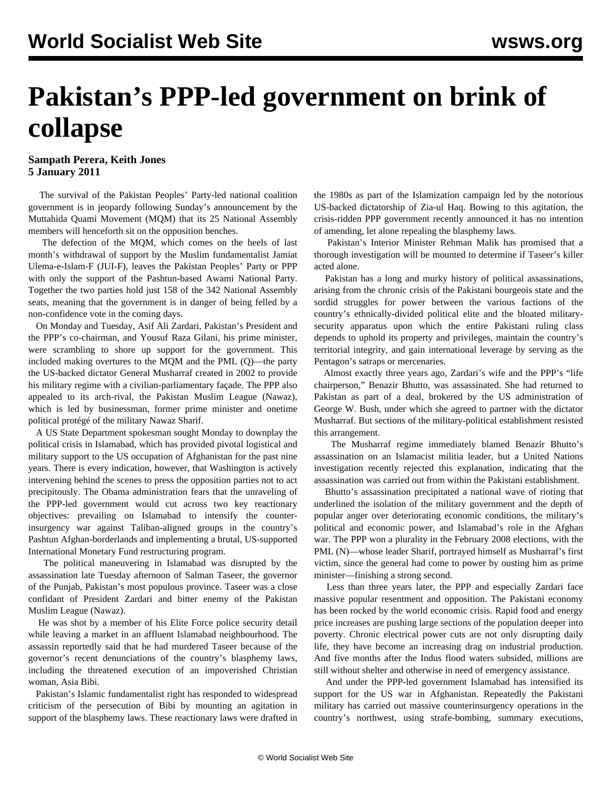## **Pakistan's PPP-led government on brink of collapse**

## **Sampath Perera, Keith Jones 5 January 2011**

 The survival of the Pakistan Peoples' Party-led national coalition government is in jeopardy following Sunday's announcement by the Muttahida Quami Movement (MQM) that its 25 National Assembly members will henceforth sit on the opposition benches.

 The defection of the MQM, which comes on the heels of last month's withdrawal of support by the Muslim fundamentalist Jamiat Ulema-e-Islam-F (JUI-F), leaves the Pakistan Peoples' Party or PPP with only the support of the Pashtun-based Awami National Party. Together the two parties hold just 158 of the 342 National Assembly seats, meaning that the government is in danger of being felled by a non-confidence vote in the coming days.

 On Monday and Tuesday, Asif Ali Zardari, Pakistan's President and the PPP's co-chairman, and Yousuf Raza Gilani, his prime minister, were scrambling to shore up support for the government. This included making overtures to the MQM and the PML (Q)—the party the US-backed dictator General Musharraf created in 2002 to provide his military regime with a civilian-parliamentary façade. The PPP also appealed to its arch-rival, the Pakistan Muslim League (Nawaz), which is led by businessman, former prime minister and onetime political protégé of the military Nawaz Sharif.

 A US State Department spokesman sought Monday to downplay the political crisis in Islamabad, which has provided pivotal logistical and military support to the US occupation of Afghanistan for the past nine years. There is every indication, however, that Washington is actively intervening behind the scenes to press the opposition parties not to act precipitously. The Obama administration fears that the unraveling of the PPP-led government would cut across two key reactionary objectives: prevailing on Islamabad to intensify the counterinsurgency war against Taliban-aligned groups in the country's Pashtun Afghan-borderlands and implementing a brutal, US-supported International Monetary Fund restructuring program.

 The political maneuvering in Islamabad was disrupted by the assassination late Tuesday afternoon of Salman Taseer, the governor of the Punjab, Pakistan's most populous province. Taseer was a close confidant of President Zardari and bitter enemy of the Pakistan Muslim League (Nawaz).

 He was shot by a member of his Elite Force police security detail while leaving a market in an affluent Islamabad neighbourhood. The assassin reportedly said that he had murdered Taseer because of the governor's recent denunciations of the country's blasphemy laws, including the threatened execution of an impoverished Christian woman, Asia Bibi.

 Pakistan's Islamic fundamentalist right has responded to widespread criticism of the persecution of Bibi by mounting an agitation in support of the blasphemy laws. These reactionary laws were drafted in the 1980s as part of the Islamization campaign led by the notorious US-backed dictatorship of Zia-ul Haq. Bowing to this agitation, the crisis-ridden PPP government recently announced it has no intention of amending, let alone repealing the blasphemy laws.

 Pakistan's Interior Minister Rehman Malik has promised that a thorough investigation will be mounted to determine if Taseer's killer acted alone.

 Pakistan has a long and murky history of political assassinations, arising from the chronic crisis of the Pakistani bourgeois state and the sordid struggles for power between the various factions of the country's ethnically-divided political elite and the bloated militarysecurity apparatus upon which the entire Pakistani ruling class depends to uphold its property and privileges, maintain the country's territorial integrity, and gain international leverage by serving as the Pentagon's satraps or mercenaries.

 Almost exactly three years ago, Zardari's wife and the PPP's "life chairperson," Benazir Bhutto, was assassinated. She had returned to Pakistan as part of a deal, brokered by the US administration of George W. Bush, under which she agreed to partner with the dictator Musharraf. But sections of the military-political establishment resisted this arrangement.

 The Musharraf regime immediately blamed Benazir Bhutto's assassination on an Islamacist militia leader, but a United Nations investigation recently rejected this explanation, indicating that the assassination was carried out from within the Pakistani establishment.

 Bhutto's assassination precipitated a national wave of rioting that underlined the isolation of the military government and the depth of popular anger over deteriorating economic conditions, the military's political and economic power, and Islamabad's role in the Afghan war. The PPP won a plurality in the February 2008 elections, with the PML (N)—whose leader Sharif, portrayed himself as Musharraf's first victim, since the general had come to power by ousting him as prime minister—finishing a strong second.

 Less than three years later, the PPP and especially Zardari face massive popular resentment and opposition. The Pakistani economy has been rocked by the world economic crisis. Rapid food and energy price increases are pushing large sections of the population deeper into poverty. Chronic electrical power cuts are not only disrupting daily life, they have become an increasing drag on industrial production. And five months after the Indus flood waters subsided, millions are still without shelter and otherwise in need of emergency assistance.

 And under the PPP-led government Islamabad has intensified its support for the US war in Afghanistan. Repeatedly the Pakistani military has carried out massive counterinsurgency operations in the country's northwest, using strafe-bombing, summary executions,